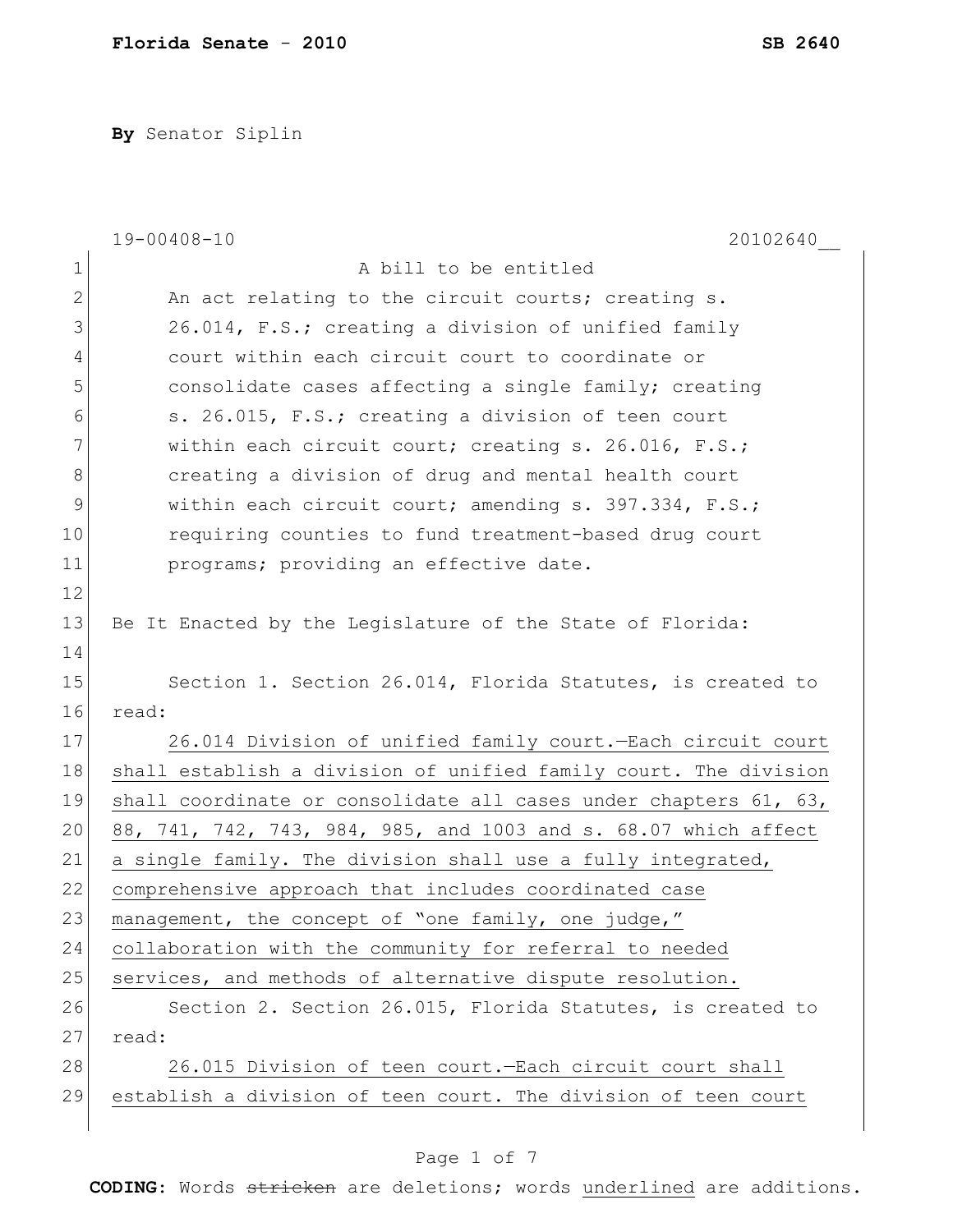**By** Senator Siplin

|              | $19 - 00408 - 10$<br>20102640                                    |
|--------------|------------------------------------------------------------------|
| $\mathbf 1$  | A bill to be entitled                                            |
| $\mathbf{2}$ | An act relating to the circuit courts; creating s.               |
|              |                                                                  |
| 3            | 26.014, F.S.; creating a division of unified family              |
| 4            | court within each circuit court to coordinate or                 |
| 5            | consolidate cases affecting a single family; creating            |
| 6            | s. 26.015, F.S.; creating a division of teen court               |
| 7            | within each circuit court; creating s. 26.016, F.S.;             |
| 8            | creating a division of drug and mental health court              |
| 9            | within each circuit court; amending s. 397.334, F.S.;            |
| 10           | requiring counties to fund treatment-based drug court            |
| 11           | programs; providing an effective date.                           |
| 12           |                                                                  |
| 13           | Be It Enacted by the Legislature of the State of Florida:        |
| 14           |                                                                  |
| 15           | Section 1. Section 26.014, Florida Statutes, is created to       |
| 16           | read:                                                            |
| 17           | 26.014 Division of unified family court. - Each circuit court    |
| 18           | shall establish a division of unified family court. The division |
| 19           | shall coordinate or consolidate all cases under chapters 61, 63, |
| 20           | 88, 741, 742, 743, 984, 985, and 1003 and s. 68.07 which affect  |
| 21           | a single family. The division shall use a fully integrated,      |
| 22           | comprehensive approach that includes coordinated case            |
| 23           | management, the concept of "one family, one judge,"              |
| 24           | collaboration with the community for referral to needed          |
| 25           | services, and methods of alternative dispute resolution.         |
| 26           | Section 2. Section 26.015, Florida Statutes, is created to       |
| 27           | read:                                                            |
| 28           | 26.015 Division of teen court. - Each circuit court shall        |
| 29           | establish a division of teen court. The division of teen court   |
|              |                                                                  |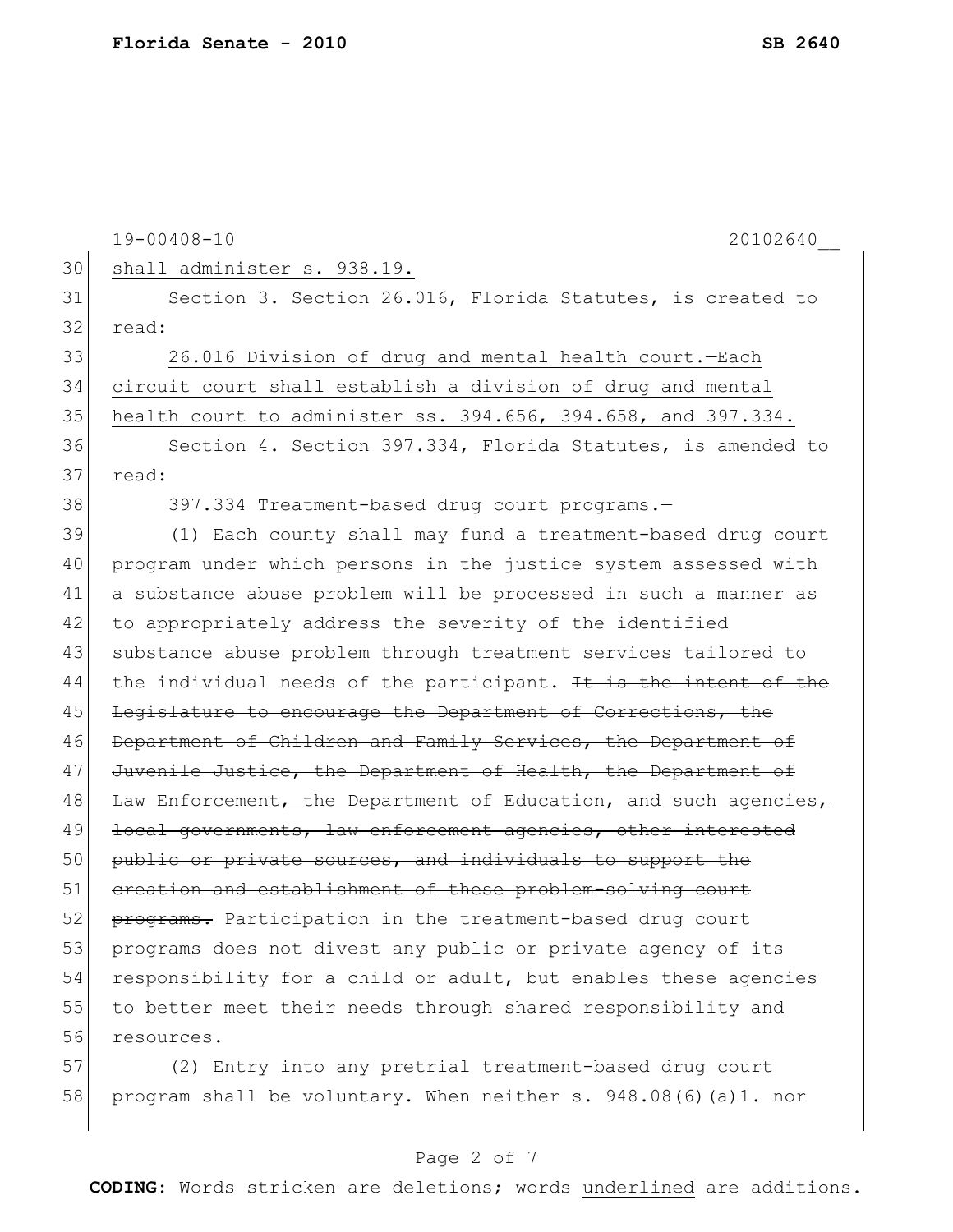|    | $19 - 00408 - 10$<br>20102640                                    |
|----|------------------------------------------------------------------|
| 30 | shall administer s. 938.19.                                      |
| 31 | Section 3. Section 26.016, Florida Statutes, is created to       |
| 32 | read:                                                            |
| 33 | 26.016 Division of drug and mental health court.-Each            |
| 34 | circuit court shall establish a division of drug and mental      |
| 35 | health court to administer ss. 394.656, 394.658, and 397.334.    |
| 36 | Section 4. Section 397.334, Florida Statutes, is amended to      |
| 37 | read:                                                            |
| 38 | 397.334 Treatment-based drug court programs.-                    |
| 39 | (1) Each county shall may fund a treatment-based drug court      |
| 40 | program under which persons in the justice system assessed with  |
| 41 | a substance abuse problem will be processed in such a manner as  |
| 42 | to appropriately address the severity of the identified          |
| 43 | substance abuse problem through treatment services tailored to   |
| 44 | the individual needs of the participant. It is the intent of the |
| 45 | Legislature to encourage the Department of Corrections, the      |
| 46 | Department of Children and Family Services, the Department of    |
| 47 | Juvenile Justice, the Department of Health, the Department of    |
| 48 | Law Enforcement, the Department of Education, and such agencies, |
| 49 | local governments, law enforcement agencies, other interested    |
| 50 | public or private sources, and individuals to support the        |
| 51 | ereation and establishment of these problem-solving court        |
| 52 | programs. Participation in the treatment-based drug court        |
| 53 | programs does not divest any public or private agency of its     |
| 54 | responsibility for a child or adult, but enables these agencies  |
| 55 | to better meet their needs through shared responsibility and     |
| 56 | resources.                                                       |
| 57 | (2) Entry into any pretrial treatment-based drug court           |
| 58 | program shall be voluntary. When neither s. 948.08(6) (a) 1. nor |

# Page 2 of 7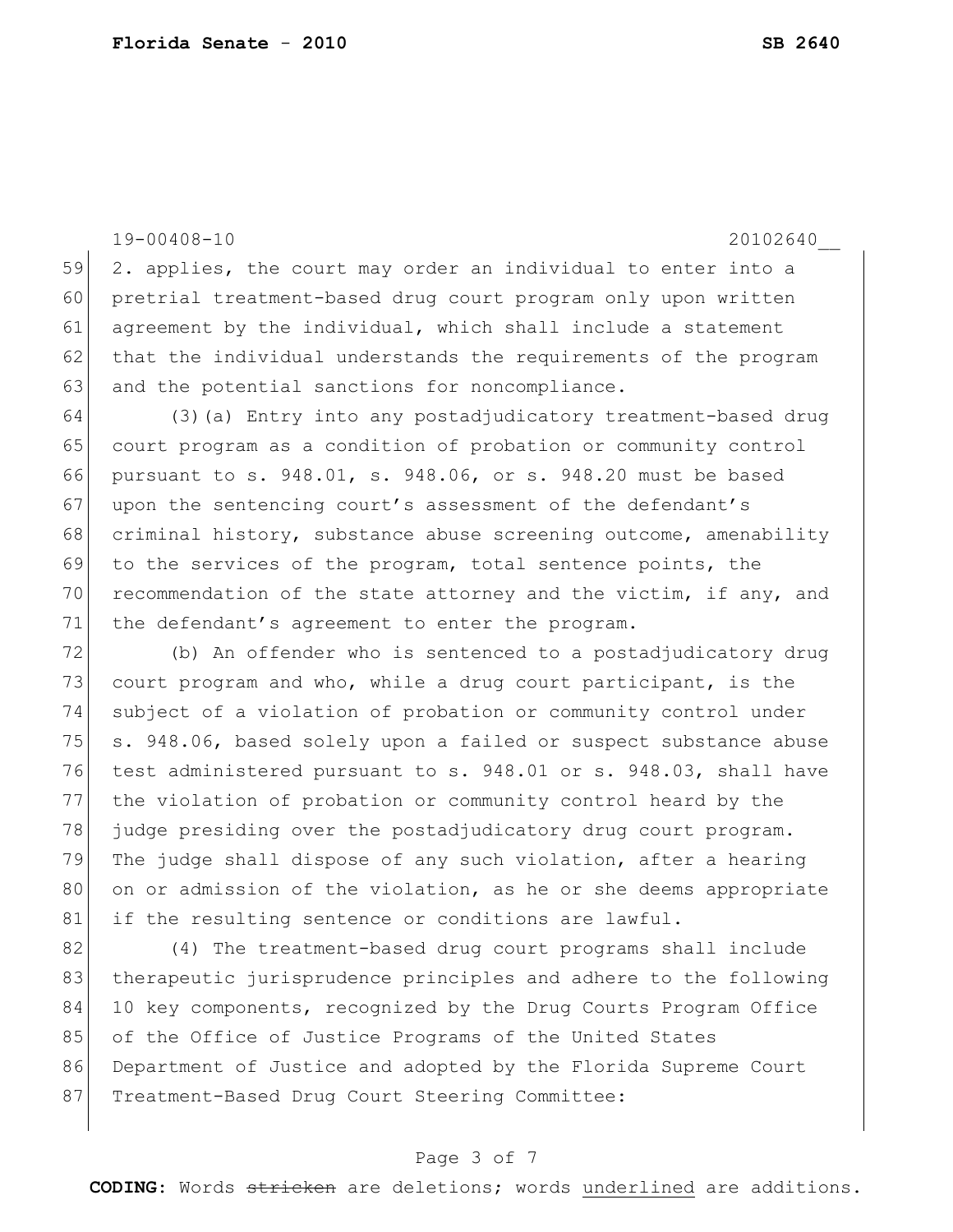19-00408-10 20102640\_\_

59 2. applies, the court may order an individual to enter into a 60 pretrial treatment-based drug court program only upon written 61 agreement by the individual, which shall include a statement 62 that the individual understands the requirements of the program 63 and the potential sanctions for noncompliance.

64 (3)(a) Entry into any postadjudicatory treatment-based drug 65 court program as a condition of probation or community control 66 pursuant to s. 948.01, s. 948.06, or s. 948.20 must be based 67 upon the sentencing court's assessment of the defendant's 68 criminal history, substance abuse screening outcome, amenability 69 to the services of the program, total sentence points, the 70 recommendation of the state attorney and the victim, if any, and 71 the defendant's agreement to enter the program.

72 (b) An offender who is sentenced to a postadjudicatory drug 73 court program and who, while a drug court participant, is the 74 subject of a violation of probation or community control under 75 s. 948.06, based solely upon a failed or suspect substance abuse 76 test administered pursuant to s. 948.01 or s. 948.03, shall have 77 the violation of probation or community control heard by the 78 judge presiding over the postadjudicatory drug court program. 79 The judge shall dispose of any such violation, after a hearing 80 on or admission of the violation, as he or she deems appropriate 81 if the resulting sentence or conditions are lawful.

82 (4) The treatment-based drug court programs shall include 83 therapeutic jurisprudence principles and adhere to the following 84 10 key components, recognized by the Drug Courts Program Office 85 of the Office of Justice Programs of the United States 86 Department of Justice and adopted by the Florida Supreme Court 87 Treatment-Based Drug Court Steering Committee:

## Page 3 of 7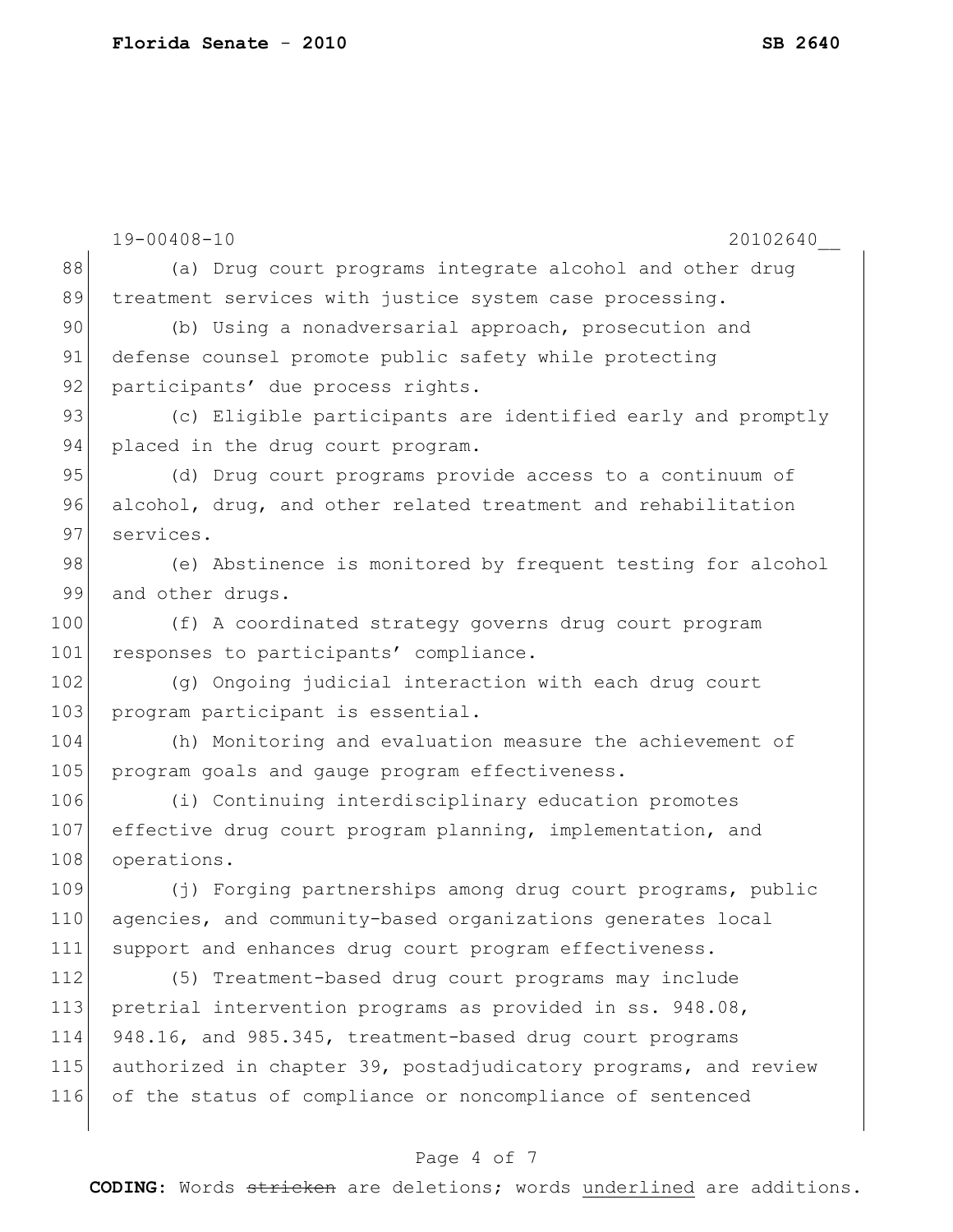|     | $19 - 00408 - 10$<br>20102640                                   |
|-----|-----------------------------------------------------------------|
| 88  | (a) Drug court programs integrate alcohol and other drug        |
| 89  | treatment services with justice system case processing.         |
| 90  | (b) Using a nonadversarial approach, prosecution and            |
| 91  | defense counsel promote public safety while protecting          |
| 92  | participants' due process rights.                               |
| 93  | (c) Eligible participants are identified early and promptly     |
| 94  | placed in the drug court program.                               |
| 95  | (d) Drug court programs provide access to a continuum of        |
| 96  | alcohol, drug, and other related treatment and rehabilitation   |
| 97  | services.                                                       |
| 98  | (e) Abstinence is monitored by frequent testing for alcohol     |
| 99  | and other drugs.                                                |
| 100 | (f) A coordinated strategy governs drug court program           |
| 101 | responses to participants' compliance.                          |
| 102 | (g) Ongoing judicial interaction with each drug court           |
| 103 | program participant is essential.                               |
| 104 | (h) Monitoring and evaluation measure the achievement of        |
| 105 | program goals and gauge program effectiveness.                  |
| 106 | (i) Continuing interdisciplinary education promotes             |
| 107 | effective drug court program planning, implementation, and      |
| 108 | operations.                                                     |
| 109 | (j) Forging partnerships among drug court programs, public      |
| 110 | agencies, and community-based organizations generates local     |
| 111 | support and enhances drug court program effectiveness.          |
| 112 | (5) Treatment-based drug court programs may include             |
| 113 | pretrial intervention programs as provided in ss. 948.08,       |
| 114 | 948.16, and 985.345, treatment-based drug court programs        |
| 115 | authorized in chapter 39, postadjudicatory programs, and review |
| 116 | of the status of compliance or noncompliance of sentenced       |
|     |                                                                 |

# Page 4 of 7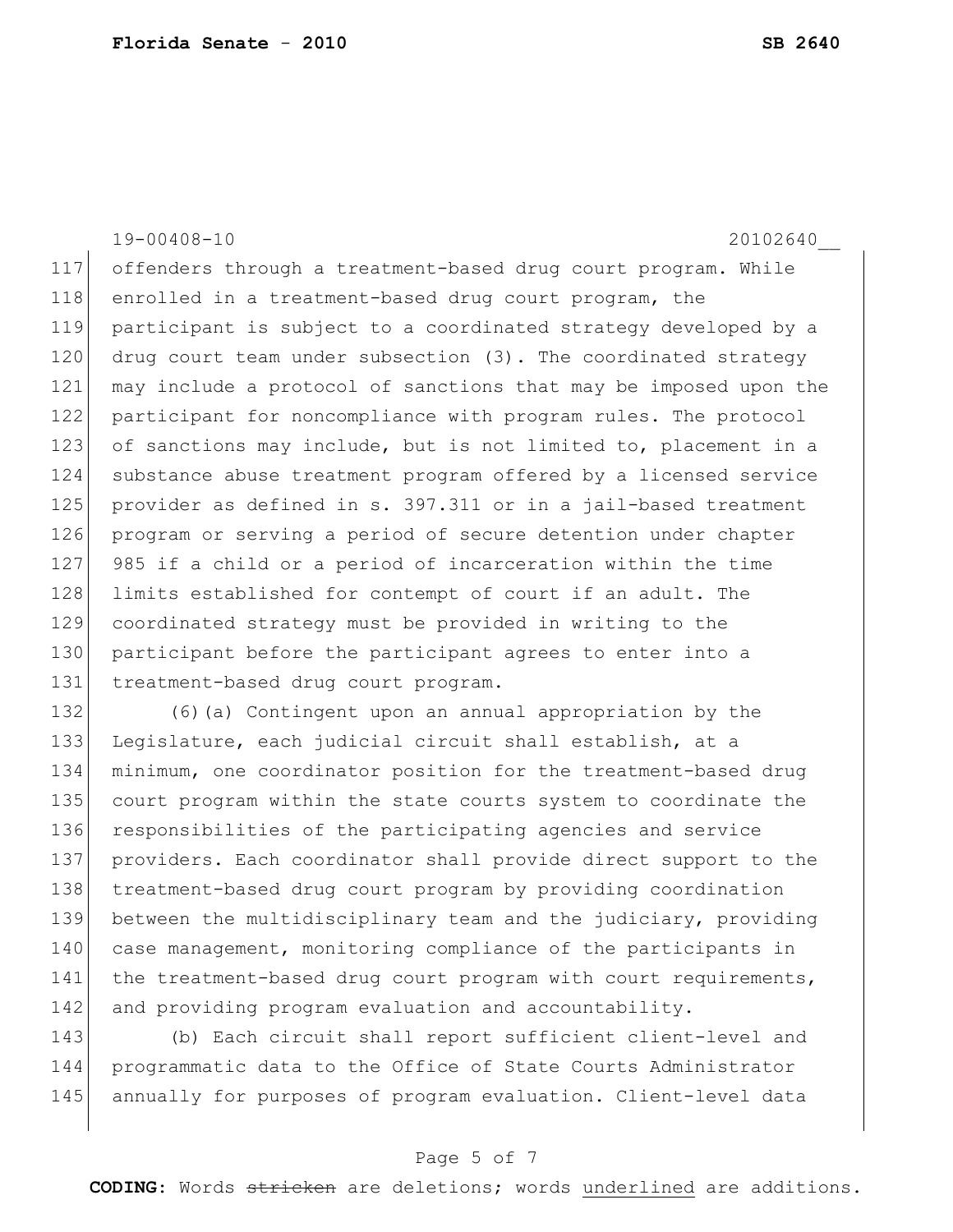19-00408-10 20102640\_\_ 117 offenders through a treatment-based drug court program. While 118 enrolled in a treatment-based drug court program, the 119 participant is subject to a coordinated strategy developed by a 120 drug court team under subsection (3). The coordinated strategy 121 may include a protocol of sanctions that may be imposed upon the 122 participant for noncompliance with program rules. The protocol 123 of sanctions may include, but is not limited to, placement in a 124 substance abuse treatment program offered by a licensed service 125 provider as defined in s. 397.311 or in a jail-based treatment 126 program or serving a period of secure detention under chapter 127 985 if a child or a period of incarceration within the time 128 limits established for contempt of court if an adult. The 129 coordinated strategy must be provided in writing to the 130 participant before the participant agrees to enter into a 131 treatment-based drug court program. 132 (6)(a) Contingent upon an annual appropriation by the

133 Legislature, each judicial circuit shall establish, at a 134 minimum, one coordinator position for the treatment-based drug 135 court program within the state courts system to coordinate the 136 responsibilities of the participating agencies and service 137 providers. Each coordinator shall provide direct support to the 138 treatment-based drug court program by providing coordination 139 between the multidisciplinary team and the judiciary, providing 140 case management, monitoring compliance of the participants in 141 the treatment-based drug court program with court requirements, 142 and providing program evaluation and accountability.

143 (b) Each circuit shall report sufficient client-level and 144 programmatic data to the Office of State Courts Administrator 145 annually for purposes of program evaluation. Client-level data

### Page 5 of 7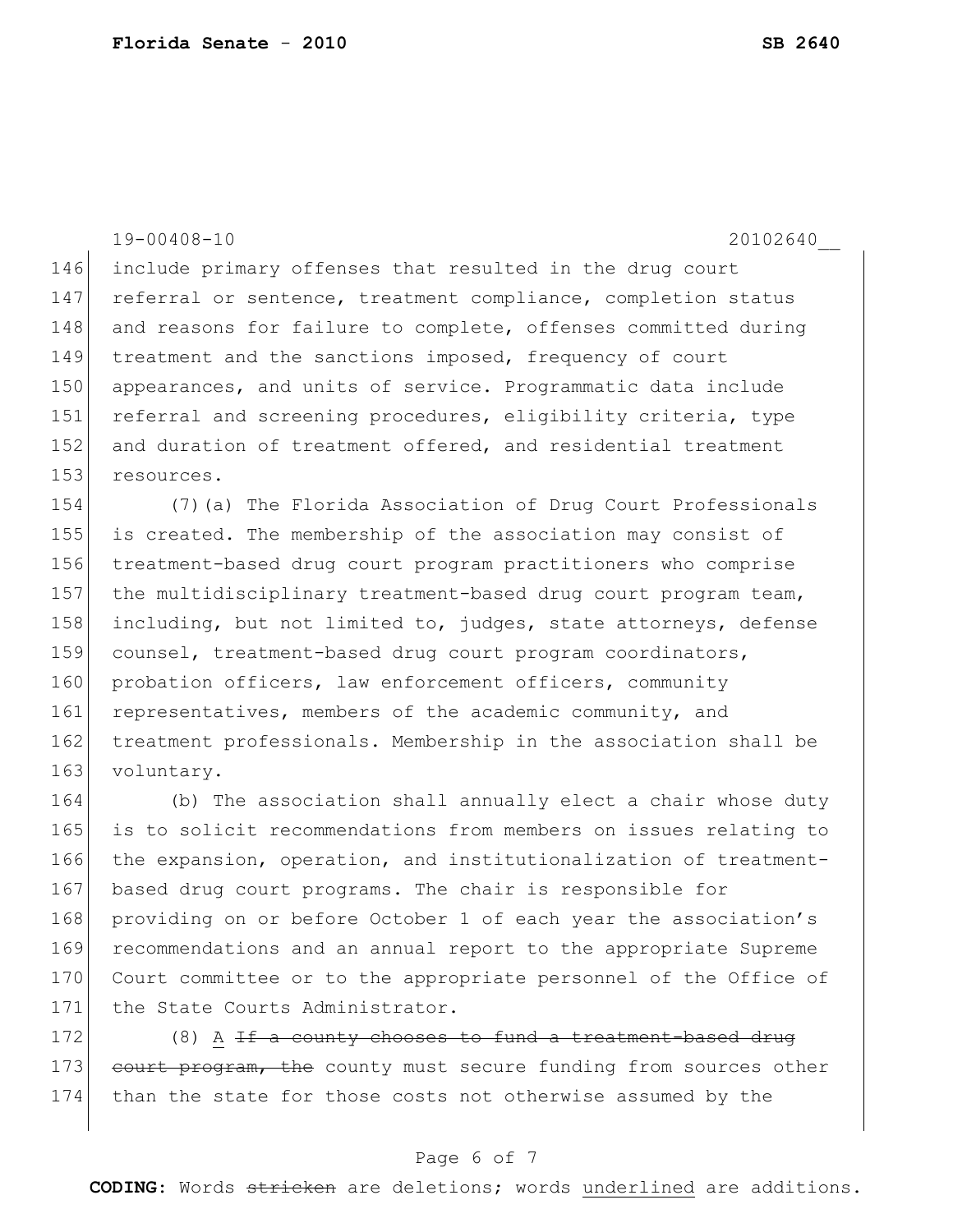19-00408-10 20102640\_\_ 146 include primary offenses that resulted in the drug court 147 referral or sentence, treatment compliance, completion status 148 and reasons for failure to complete, offenses committed during 149 treatment and the sanctions imposed, frequency of court 150 appearances, and units of service. Programmatic data include 151 referral and screening procedures, eligibility criteria, type 152 and duration of treatment offered, and residential treatment 153 resources. 154 (7)(a) The Florida Association of Drug Court Professionals

155 is created. The membership of the association may consist of 156 treatment-based drug court program practitioners who comprise 157 the multidisciplinary treatment-based drug court program team, 158 including, but not limited to, judges, state attorneys, defense 159 counsel, treatment-based drug court program coordinators, 160 probation officers, law enforcement officers, community 161 representatives, members of the academic community, and 162 treatment professionals. Membership in the association shall be 163 voluntary.

164 (b) The association shall annually elect a chair whose duty 165 is to solicit recommendations from members on issues relating to 166 the expansion, operation, and institutionalization of treatment-167 based drug court programs. The chair is responsible for 168 providing on or before October 1 of each year the association's 169 recommendations and an annual report to the appropriate Supreme 170 Court committee or to the appropriate personnel of the Office of 171 the State Courts Administrator.

172  $(8)$  A <del>If a county chooses to fund a treatment-based drug</del> 173 court program, the county must secure funding from sources other 174 than the state for those costs not otherwise assumed by the

## Page 6 of 7